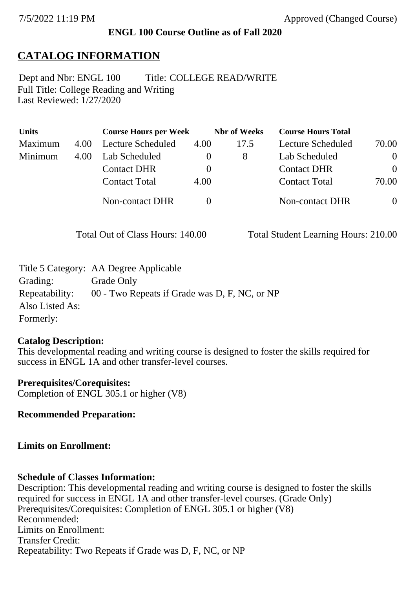## **ENGL 100 Course Outline as of Fall 2020**

# **CATALOG INFORMATION**

Full Title: College Reading and Writing Last Reviewed: 1/27/2020 Dept and Nbr: ENGL 100 Title: COLLEGE READ/WRITE

| <b>Units</b> |      | <b>Course Hours per Week</b> |              | <b>Nbr</b> of Weeks | <b>Course Hours Total</b> |                |
|--------------|------|------------------------------|--------------|---------------------|---------------------------|----------------|
| Maximum      | 4.00 | Lecture Scheduled            | 4.00         | 17.5                | Lecture Scheduled         | 70.00          |
| Minimum      | 4.00 | Lab Scheduled                | $\mathbf{0}$ | 8                   | Lab Scheduled             | $\overline{0}$ |
|              |      | <b>Contact DHR</b>           | $\theta$     |                     | <b>Contact DHR</b>        | $\theta$       |
|              |      | <b>Contact Total</b>         | 4.00         |                     | <b>Contact Total</b>      | 70.00          |
|              |      | Non-contact DHR              |              |                     | <b>Non-contact DHR</b>    | $\overline{0}$ |

Total Out of Class Hours: 140.00 Total Student Learning Hours: 210.00

| 00 - Two Repeats if Grade was D, F, NC, or NP |
|-----------------------------------------------|
|                                               |
|                                               |
|                                               |

## **Catalog Description:**

This developmental reading and writing course is designed to foster the skills required for success in ENGL 1A and other transfer-level courses.

**Prerequisites/Corequisites:** Completion of ENGL 305.1 or higher (V8)

**Recommended Preparation:**

## **Limits on Enrollment:**

## **Schedule of Classes Information:**

Description: This developmental reading and writing course is designed to foster the skills required for success in ENGL 1A and other transfer-level courses. (Grade Only) Prerequisites/Corequisites: Completion of ENGL 305.1 or higher (V8) Recommended: Limits on Enrollment: Transfer Credit: Repeatability: Two Repeats if Grade was D, F, NC, or NP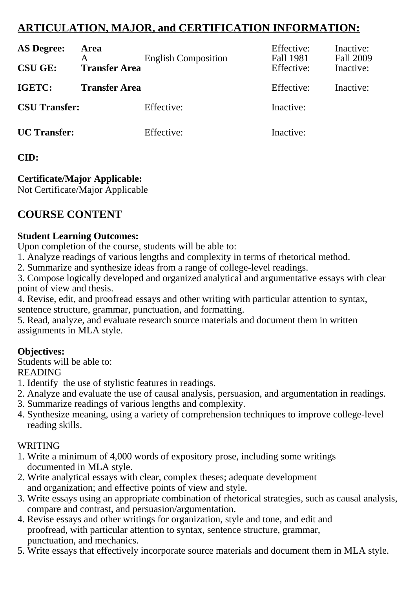## **ARTICULATION, MAJOR, and CERTIFICATION INFORMATION:**

| <b>AS Degree:</b><br><b>CSU GE:</b> | <b>Area</b><br><b>Transfer Area</b> | <b>English Composition</b> | Effective:<br>Fall 1981<br>Effective: | Inactive:<br>Fall 2009<br>Inactive: |
|-------------------------------------|-------------------------------------|----------------------------|---------------------------------------|-------------------------------------|
| IGETC:                              | <b>Transfer Area</b>                |                            | Effective:                            | Inactive:                           |
| <b>CSU Transfer:</b>                |                                     | Effective:                 | Inactive:                             |                                     |
| <b>UC</b> Transfer:                 |                                     | Effective:                 | Inactive:                             |                                     |

### **CID:**

## **Certificate/Major Applicable:**

[Not Certificate/Major Applicable](SR_ClassCheck.aspx?CourseKey=ENGL100)

## **COURSE CONTENT**

#### **Student Learning Outcomes:**

Upon completion of the course, students will be able to:

1. Analyze readings of various lengths and complexity in terms of rhetorical method.

2. Summarize and synthesize ideas from a range of college-level readings.

3. Compose logically developed and organized analytical and argumentative essays with clear point of view and thesis.

4. Revise, edit, and proofread essays and other writing with particular attention to syntax, sentence structure, grammar, punctuation, and formatting.

5. Read, analyze, and evaluate research source materials and document them in written assignments in MLA style.

#### **Objectives:**

Students will be able to:

#### READING

- 1. Identify the use of stylistic features in readings.
- 2. Analyze and evaluate the use of causal analysis, persuasion, and argumentation in readings.
- 3. Summarize readings of various lengths and complexity.
- 4. Synthesize meaning, using a variety of comprehension techniques to improve college-level reading skills.

#### WRITING

- 1. Write a minimum of 4,000 words of expository prose, including some writings documented in MLA style.
- 2. Write analytical essays with clear, complex theses; adequate development and organization; and effective points of view and style.
- 3. Write essays using an appropriate combination of rhetorical strategies, such as causal analysis, compare and contrast, and persuasion/argumentation.
- 4. Revise essays and other writings for organization, style and tone, and edit and proofread, with particular attention to syntax, sentence structure, grammar, punctuation, and mechanics.
- 5. Write essays that effectively incorporate source materials and document them in MLA style.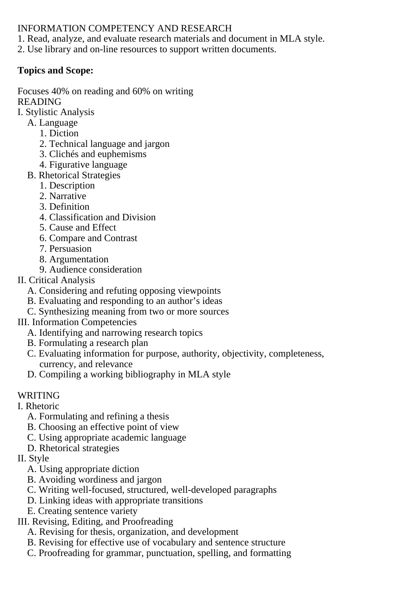#### INFORMATION COMPETENCY AND RESEARCH

1. Read, analyze, and evaluate research materials and document in MLA style.

2. Use library and on-line resources to support written documents.

## **Topics and Scope:**

Focuses 40% on reading and 60% on writing READING

- I. Stylistic Analysis
	- A. Language
		- 1. Diction
		- 2. Technical language and jargon
		- 3. Clichés and euphemisms
		- 4. Figurative language
	- B. Rhetorical Strategies
		- 1. Description
		- 2. Narrative
		- 3. Definition
		- 4. Classification and Division
		- 5. Cause and Effect
		- 6. Compare and Contrast
		- 7. Persuasion
		- 8. Argumentation
		- 9. Audience consideration
- II. Critical Analysis
	- A. Considering and refuting opposing viewpoints
	- B. Evaluating and responding to an author's ideas
	- C. Synthesizing meaning from two or more sources
- III. Information Competencies
	- A. Identifying and narrowing research topics
	- B. Formulating a research plan
	- C. Evaluating information for purpose, authority, objectivity, completeness, currency, and relevance
	- D. Compiling a working bibliography in MLA style

## WRITING

- I. Rhetoric
	- A. Formulating and refining a thesis
	- B. Choosing an effective point of view
	- C. Using appropriate academic language
	- D. Rhetorical strategies
- II. Style
	- A. Using appropriate diction
	- B. Avoiding wordiness and jargon
	- C. Writing well-focused, structured, well-developed paragraphs
	- D. Linking ideas with appropriate transitions
	- E. Creating sentence variety
- III. Revising, Editing, and Proofreading
	- A. Revising for thesis, organization, and development
	- B. Revising for effective use of vocabulary and sentence structure
	- C. Proofreading for grammar, punctuation, spelling, and formatting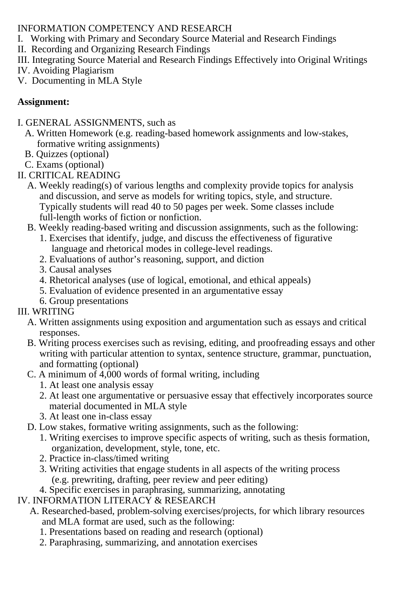### INFORMATION COMPETENCY AND RESEARCH

- I. Working with Primary and Secondary Source Material and Research Findings
- II. Recording and Organizing Research Findings
- III. Integrating Source Material and Research Findings Effectively into Original Writings
- IV. Avoiding Plagiarism
- V. Documenting in MLA Style

## **Assignment:**

- I. GENERAL ASSIGNMENTS, such as
	- A. Written Homework (e.g. reading-based homework assignments and low-stakes, formative writing assignments)
	- B. Quizzes (optional)
	- C. Exams (optional)
- II. CRITICAL READING
	- A. Weekly reading(s) of various lengths and complexity provide topics for analysis and discussion, and serve as models for writing topics, style, and structure. Typically students will read 40 to 50 pages per week. Some classes include full-length works of fiction or nonfiction.
	- B. Weekly reading-based writing and discussion assignments, such as the following:
		- 1. Exercises that identify, judge, and discuss the effectiveness of figurative language and rhetorical modes in college-level readings.
		- 2. Evaluations of author's reasoning, support, and diction
		- 3. Causal analyses
		- 4. Rhetorical analyses (use of logical, emotional, and ethical appeals)
		- 5. Evaluation of evidence presented in an argumentative essay
		- 6. Group presentations

## III. WRITING

- A. Written assignments using exposition and argumentation such as essays and critical responses.
- B. Writing process exercises such as revising, editing, and proofreading essays and other writing with particular attention to syntax, sentence structure, grammar, punctuation, and formatting (optional)
- C. A minimum of 4,000 words of formal writing, including
	- 1. At least one analysis essay
	- 2. At least one argumentative or persuasive essay that effectively incorporates source material documented in MLA style
	- 3. At least one in-class essay
- D. Low stakes, formative writing assignments, such as the following:
	- 1. Writing exercises to improve specific aspects of writing, such as thesis formation, organization, development, style, tone, etc.
	- 2. Practice in-class/timed writing
	- 3. Writing activities that engage students in all aspects of the writing process (e.g. prewriting, drafting, peer review and peer editing)
- 4. Specific exercises in paraphrasing, summarizing, annotating
- IV. INFORMATION LITERACY & RESEARCH
	- A. Researched-based, problem-solving exercises/projects, for which library resources and MLA format are used, such as the following:
		- 1. Presentations based on reading and research (optional)
		- 2. Paraphrasing, summarizing, and annotation exercises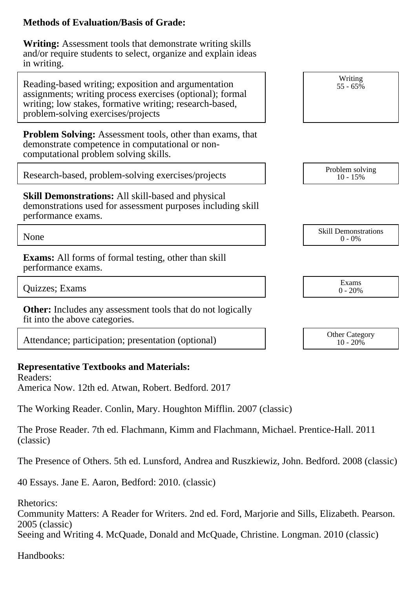#### **Methods of Evaluation/Basis of Grade:**

**Writing:** Assessment tools that demonstrate writing skills and/or require students to select, organize and explain ideas in writing.

Attendance; participation; presentation (optional) 0ther Category of the Category

## **Representative Textbooks and Materials:**

Readers: America Now. 12th ed. Atwan, Robert. Bedford. 2017

The Working Reader. Conlin, Mary. Houghton Mifflin. 2007 (classic)

The Prose Reader. 7th ed. Flachmann, Kimm and Flachmann, Michael. Prentice-Hall. 2011 (classic)

The Presence of Others. 5th ed. Lunsford, Andrea and Ruszkiewiz, John. Bedford. 2008 (classic)

40 Essays. Jane E. Aaron, Bedford: 2010. (classic)

Rhetorics:

Community Matters: A Reader for Writers. 2nd ed. Ford, Marjorie and Sills, Elizabeth. Pearson. 2005 (classic)

Seeing and Writing 4. McQuade, Donald and McQuade, Christine. Longman. 2010 (classic)

Handbooks:

| in writing.                                                                                                                                                                                                       |                                          |
|-------------------------------------------------------------------------------------------------------------------------------------------------------------------------------------------------------------------|------------------------------------------|
| Reading-based writing; exposition and argumentation<br>assignments; writing process exercises (optional); formal<br>writing; low stakes, formative writing; research-based,<br>problem-solving exercises/projects | Writing<br>$55 - 65%$                    |
| <b>Problem Solving:</b> Assessment tools, other than exams, that<br>demonstrate competence in computational or non-<br>computational problem solving skills.                                                      |                                          |
| Research-based, problem-solving exercises/projects                                                                                                                                                                | Problem solving<br>$10 - 15%$            |
| <b>Skill Demonstrations:</b> All skill-based and physical<br>demonstrations used for assessment purposes including skill<br>performance exams.                                                                    |                                          |
| None                                                                                                                                                                                                              | <b>Skill Demonstrations</b><br>$0 - 0\%$ |
| <b>Exams:</b> All forms of formal testing, other than skill<br>performance exams.                                                                                                                                 |                                          |
| Quizzes; Exams                                                                                                                                                                                                    | Exams<br>$0 - 20%$                       |
| <b>Other:</b> Includes any assessment tools that do not logically<br>fit into the above categories.                                                                                                               |                                          |
|                                                                                                                                                                                                                   |                                          |

 $10 - 20\%$